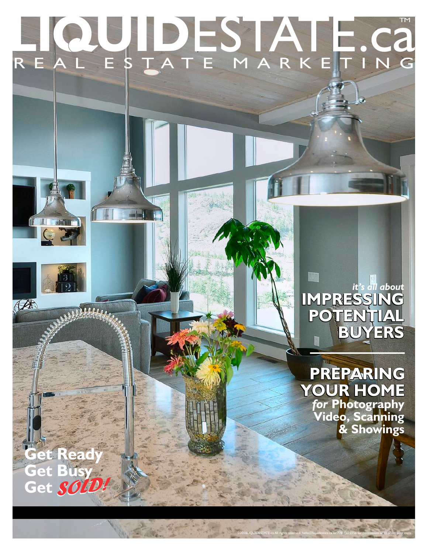# R E A L E S T A T E M A R K E T I N G LIQUIDESTATE.Ca

## **IMPRESSING POTENTIAL BUYERS** *it's all about*

**PREPARING YOUR HOME** *for* **Photography Video, Scanning & Showings**

©2018LIQUIDESTATE.ca All rights reserved. hello@liquidestate.ca or 778.753.5558 for permissions or to order your copy.

**Get Ready Get Busy Get** *SOLD!*

GZ

**A**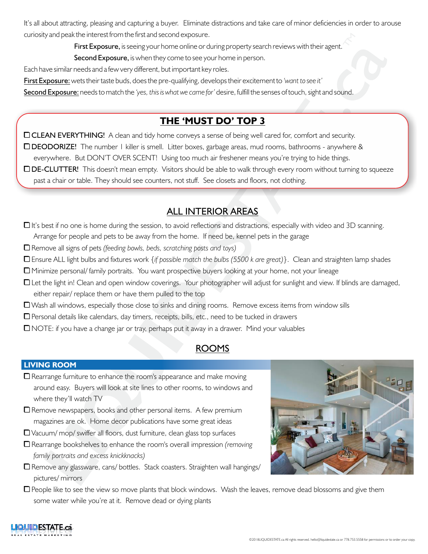It's all about attracting, pleasing and capturing a buyer. Eliminate distractions and take care of minor deficiencies in order to arouse curiosity and peak the interest from the first and second exposure.

First Exposure, is seeing your home online or during property search reviews with their agent.

Second Exposure, is when they come to see your home in person.

Each have similar needs and a few very different, but important key roles.

First Exposure: wets their taste buds, does the pre-qualifying, develops their excitement to *'want to see it'*

Second Exposure: needs to match the *'yes, this is what we came for'* desire, fulfill the senses of touch, sight and sound.

## **THE 'MUST DO' TOP 3**

□ CLEAN EVERYTHING! A clean and tidy home conveys a sense of being well cared for, comfort and security. □ DEODORIZE! The number 1 killer is smell. Litter boxes, garbage areas, mud rooms, bathrooms - anywhere & everywhere. But DON'T OVER SCENT! Using too much air freshener means you're trying to hide things. DDE-CLUTTER! This doesn't mean empty. Visitors should be able to walk through every room without turning to squeeze past a chair or table. They should see counters, not stuff. See closets and floors, not clothing.

## ALL INTERIOR AREAS

 $\Box$  It's best if no one is home during the session, to avoid reflections and distractions, especially with video and 3D scanning. Arrange for people and pets to be away from the home. If need be, kennel pets in the garage

0 Remove all signs of pets *(feeding bowls, beds, scratching posts and toys)*

0 Ensure ALL light bulbs and fixtures work *{if possible match the bulbs (5500 k are great)}*. Clean and straighten lamp shades

0 Minimize personal/ family portraits. You want prospective buyers looking at your home, not your lineage

□ Let the light in! Clean and open window coverings. Your photographer will adjust for sunlight and view. If blinds are damaged, either repair/ replace them or have them pulled to the top

 $\Box$  Wash all windows, especially those close to sinks and dining rooms. Remove excess items from window sills

 $\Box$  Personal details like calendars, day timers, receipts, bills, etc., need to be tucked in drawers

0 NOTE: if you have a change jar or tray, perhaps put it away in a drawer. Mind your valuables

## ROOMS

#### **LIVING ROOM**

- $\square$  Rearrange furniture to enhance the room's appearance and make moving around easy. Buyers will look at site lines to other rooms, to windows and where they'll watch TV
- $\square$  Remove newspapers, books and other personal items. A few premium magazines are ok. Home decor publications have some great ideas
- $\Box$  Vacuum/ mop/ swiffer all floors, dust furniture, clean glass top surfaces
- 0 Rearrange bookshelves to enhance the room's overall impression *(removing family portraits and excess knickknacks)*
- $\Box$  Remove any glassware, cans/ bottles. Stack coasters. Straighten wall hangings/ pictures/ mirrors
- $\Box$  People like to see the view so move plants that block windows. Wash the leaves, remove dead blossoms and give them some water while you're at it. Remove dead or dying plants

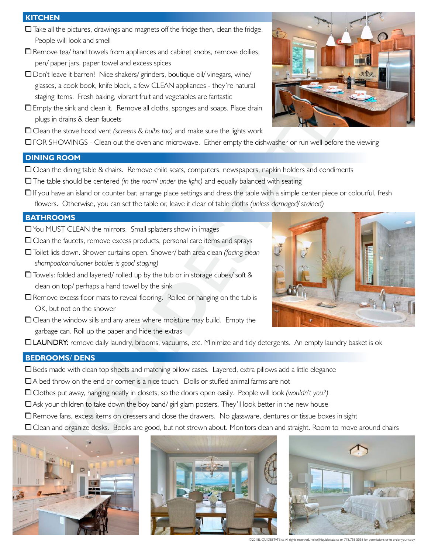#### **KITCHEN**

- $\Box$  Take all the pictures, drawings and magnets off the fridge then, clean the fridge. People will look and smell
- $\Box$  Remove tea/ hand towels from appliances and cabinet knobs, remove doilies, pen/ paper jars, paper towel and excess spices
- $\Box$  Don't leave it barren! Nice shakers/ grinders, boutique oil/ vinegars, wine/ glasses, a cook book, knife block, a few CLEAN appliances - they're natural staging items. Fresh baking, vibrant fruit and vegetables are fantastic
- $\Box$  Empty the sink and clean it. Remove all cloths, sponges and soaps. Place drain plugs in drains & clean faucets
- □ Clean the stove hood vent *(screens & bulbs too)* and make sure the lights work
- □FOR SHOWINGS Clean out the oven and microwave. Either empty the dishwasher or run well before the viewing

#### **DINING ROOM**

- $\Box$  Clean the dining table & chairs. Remove child seats, computers, newspapers, napkin holders and condiments
- 0 The table should be centered *(in the room/ under the light)* and equally balanced with seating
- $\Box$  If you have an island or counter bar, arrange place settings and dress the table with a simple center piece or colourful, fresh flowers. Otherwise, you can set the table or, leave it clear of table cloths *(unless damaged/ stained)*

#### **BATHROOMS**

- $\Box$  You MUST CLEAN the mirrors. Small splatters show in images
- $\Box$  Clean the faucets, remove excess products, personal care items and sprays
- 0 Toilet lids down. Shower curtains open. Shower/ bath area clean *(facing clean shampoo/conditioner bottles is good staging)*
- $\Box$  Towels: folded and layered/ rolled up by the tub or in storage cubes/ soft & clean on top/ perhaps a hand towel by the sink
- $\Box$  Remove excess floor mats to reveal flooring. Rolled or hanging on the tub is OK, but not on the shower
- $\Box$  Clean the window sills and any areas where moisture may build. Empty the garbage can. Roll up the paper and hide the extras
- 0 LAUNDRY: remove daily laundry, brooms, vacuums, etc. Minimize and tidy detergents. An empty laundry basket is ok

#### **BEDROOMS/ DENS**

- $\Box$  Beds made with clean top sheets and matching pillow cases. Layered, extra pillows add a little elegance
- $\Box$  A bed throw on the end or corner is a nice touch. Dolls or stuffed animal farms are not
- 0 Clothes put away, hanging neatly in closets, so the doors open easily. People will look *(wouldn't you?)*
- $\Box$  Ask your children to take down the boy band/ girl glam posters. They'll look better in the new house
- $\Box$  Remove fans, excess items on dressers and close the drawers. No glassware, dentures or tissue boxes in sight
- □ Clean and organize desks. Books are good, but not strewn about. Monitors clean and straight. Room to move around chairs